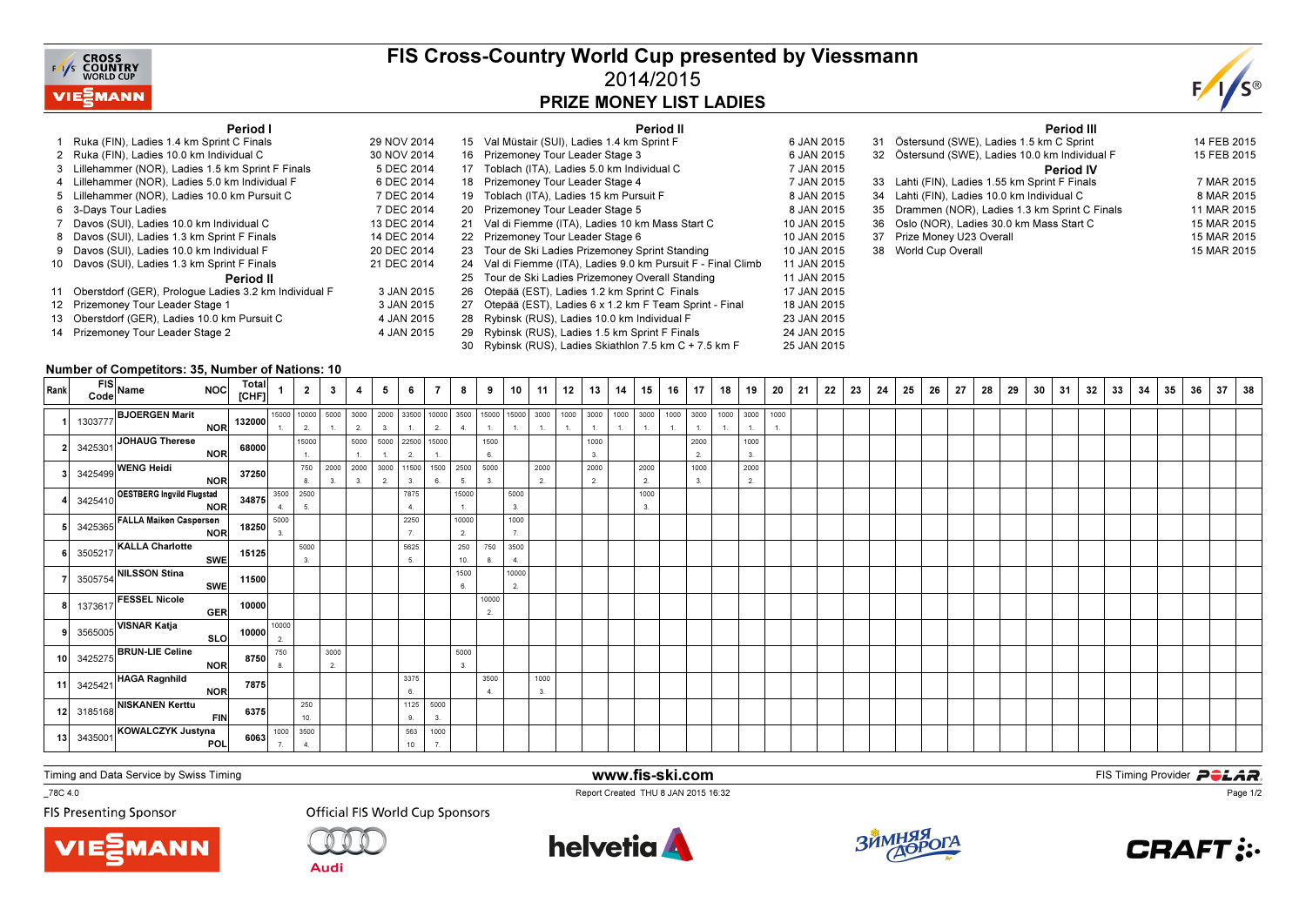

### FIS Cross-Country World Cup presented by Viessmann2014/2015PRIZE MONEY LIST LADIES



#### Period I

| Period I                                                 |             |    | Period II                                                  |             |
|----------------------------------------------------------|-------------|----|------------------------------------------------------------|-------------|
| 1 Ruka (FIN), Ladies 1.4 km Sprint C Finals              | 29 NOV 2014 | 15 | Val Müstair (SUI), Ladies 1.4 km Sprint F                  | 6 JAN 2015  |
| 2 Ruka (FIN), Ladies 10.0 km Individual C                | 30 NOV 2014 | 16 | Prizemoney Tour Leader Stage 3                             | 6 JAN 2015  |
| 3 Lillehammer (NOR), Ladies 1.5 km Sprint F Finals       | 5 DEC 2014  | 17 | Toblach (ITA), Ladies 5.0 km Individual C                  | 7 JAN 2015  |
| 4 Lillehammer (NOR), Ladies 5.0 km Individual F          | 6 DEC 2014  | 18 | Prizemoney Tour Leader Stage 4                             | 7 JAN 2015  |
| 5 Lillehammer (NOR), Ladies 10.0 km Pursuit C            | 7 DEC 2014  | 19 | Toblach (ITA), Ladies 15 km Pursuit F                      | 8 JAN 2015  |
| 6 3-Days Tour Ladies                                     | 7 DEC 2014  | 20 | Prizemoney Tour Leader Stage 5                             | 8 JAN 2015  |
| 7 Davos (SUI), Ladies 10.0 km Individual C               | 13 DEC 2014 | 21 | Val di Fiemme (ITA), Ladies 10 km Mass Start C             | 10 JAN 2015 |
| 8 Davos (SUI), Ladies 1.3 km Sprint F Finals             | 14 DEC 2014 | 22 | Prizemoney Tour Leader Stage 6                             | 10 JAN 2015 |
| 9 Davos (SUI), Ladies 10.0 km Individual F               | 20 DEC 2014 | 23 | Tour de Ski Ladies Prizemoney Sprint Standing              | 10 JAN 2015 |
| 10 Davos (SUI), Ladies 1.3 km Sprint F Finals            | 21 DEC 2014 | 24 | Val di Fiemme (ITA), Ladies 9.0 km Pursuit F - Final Climb | 11 JAN 2015 |
| Period II                                                |             | 25 | Tour de Ski Ladies Prizemoney Overall Standing             | 11 JAN 2015 |
| 11 Oberstdorf (GER), Prologue Ladies 3.2 km Individual F | 3 JAN 2015  | 26 | Otepää (EST), Ladies 1.2 km Sprint C Finals                | 17 JAN 2015 |
| 12 Prizemoney Tour Leader Stage 1                        | 3 JAN 2015  | 27 | Otepää (EST), Ladies 6 x 1.2 km F Team Sprint - Final      | 18 JAN 2015 |
| 13 Oberstdorf (GER), Ladies 10.0 km Pursuit C            | 4 JAN 2015  | 28 | Rybinsk (RUS), Ladies 10.0 km Individual F                 | 23 JAN 2015 |
| 14 Prizemoney Tour Leader Stage 2                        | 4 JAN 2015  | 29 | Rybinsk (RUS), Ladies 1.5 km Sprint F Finals               | 24 JAN 2015 |
|                                                          |             | 30 | Rybinsk (RUS), Ladies Skiathlon 7.5 km C + 7.5 km F        | 25 JAN 2015 |

|    | Period III                                      |             |
|----|-------------------------------------------------|-------------|
| 31 | Östersund (SWE), Ladies 1.5 km C Sprint         | 14 FEB 2015 |
|    | 32 Östersund (SWE), Ladies 10.0 km Individual F | 15 FEB 2015 |
|    | <b>Period IV</b>                                |             |
|    | 33 Lahti (FIN), Ladies 1.55 km Sprint F Finals  | 7 MAR 2015  |
|    | 34 Lahti (FIN), Ladies 10.0 km Individual C     | 8 MAR 2015  |
|    | 35 Drammen (NOR), Ladies 1.3 km Sprint C Finals | 11 MAR 2015 |
|    | 36 Oslo (NOR), Ladies 30.0 km Mass Start C      | 15 MAR 2015 |
|    | 37 Prize Money U23 Overall                      | 15 MAR 2015 |
| 38 | World Cup Overall                               | 15 MAR 2015 |
|    |                                                 |             |

#### Number of Competitors: 35, Number of Nations: 10

| Rank | FIS<br>Code Name<br>NOC Total                                                                                                                                                                                                       |            |                                                                             |                                                                                | $2 \mid 3 \mid 4 \mid$ |            | $5^{\circ}$                                   | 6                   | 7 8 1        |             | 9   10                 |                          | $11$   12            | 13   14    | $15$ 16    | 17         | 18 | 19         | 20   | 21 | 22 | 23 | 24 | 25 | 26 | 27 | 28 | 29 | 30 | 31 | 32 | 33 | 34 | 35 | 36 | 37 | 38 |
|------|-------------------------------------------------------------------------------------------------------------------------------------------------------------------------------------------------------------------------------------|------------|-----------------------------------------------------------------------------|--------------------------------------------------------------------------------|------------------------|------------|-----------------------------------------------|---------------------|--------------|-------------|------------------------|--------------------------|----------------------|------------|------------|------------|----|------------|------|----|----|----|----|----|----|----|----|----|----|----|----|----|----|----|----|----|----|
|      | 1303777 <b>BJOERGEN Marit</b> NOR 132000 10000 10000 10000 10000 10000 10000 10000 1000 1000 1000 1000 1000 1000 1000 1000 1000 1000 1000 1000 1000 1000 1000 1000 1000 1000 1000 1000 1000 1000 1000 1000 1000 1000 1000 1000 1000 |            |                                                                             | $\begin{array}{ c c }\n\hline\n2. & \\ \hline\n15000 & \\ \hline\n\end{array}$ |                        |            | 1. 2. 3. 1. 2.<br>5000 5000 22500 15000       |                     |              |             |                        |                          |                      |            |            |            |    |            | 1000 |    |    |    |    |    |    |    |    |    |    |    |    |    |    |    |    |    |    |
|      | 2 3425301 JOHAUG Therese                                                                                                                                                                                                            |            | NOR 68000                                                                   | 1.                                                                             |                        | $\vert$ 1. | $\mathbf{1}$                                  |                     | $\mathbf{1}$ |             | 1500<br>6.             |                          |                      | 1000<br>3. |            | 2000<br>2. |    | 1000<br>3. |      |    |    |    |    |    |    |    |    |    |    |    |    |    |    |    |    |    |    |
|      | 3 3425499 WENG Heidi                                                                                                                                                                                                                | NOR 37250  |                                                                             |                                                                                | 8. 3.                  | 3.         | 750 2000 2000 3000 11500 1500 2500 5000<br>2. | 3.                  | 6.           | 5.          |                        |                          | 2000<br>2.           | 2000<br>2. | 2000<br>2. | 1000<br>3. |    | 2000<br>2. |      |    |    |    |    |    |    |    |    |    |    |    |    |    |    |    |    |    |    |
|      | 4 3425410 <b>OESTBERG Ingvild Flugstad NOR</b> 34875 3500 2500<br>5 3425365 FALLA Maiken Caspersen<br>NOR 18250 5000 3                                                                                                              |            |                                                                             |                                                                                |                        |            |                                               | 7875<br>4.          |              | 15000<br>1. |                        | 5000<br>3.               |                      |            | 1000       |            |    |            |      |    |    |    |    |    |    |    |    |    |    |    |    |    |    |    |    |    |    |
|      |                                                                                                                                                                                                                                     |            |                                                                             |                                                                                |                        |            |                                               | 2250                |              | 10000<br>2. |                        | 1000<br>$\overline{7}$ . |                      |            |            |            |    |            |      |    |    |    |    |    |    |    |    |    |    |    |    |    |    |    |    |    |    |
|      | 6 3505217 KALLA Charlotte SWE 15125                                                                                                                                                                                                 |            |                                                                             | 5000<br>3.                                                                     |                        |            |                                               | 5625<br>5.          |              | 250<br>10.  | 750<br>8.              | 3500<br>4.               |                      |            |            |            |    |            |      |    |    |    |    |    |    |    |    |    |    |    |    |    |    |    |    |    |    |
|      | 7 3505754 NILSSON Stina                                                                                                                                                                                                             | <b>SWE</b> | 11500                                                                       |                                                                                |                        |            |                                               |                     |              | 1500<br>6.  |                        | 10000<br>2.              |                      |            |            |            |    |            |      |    |    |    |    |    |    |    |    |    |    |    |    |    |    |    |    |    |    |
|      | $\overline{\text{}}\left\vert \text{ }1373617\right\vert \text{FESSEL Nicole}}$                                                                                                                                                     |            | GER 10000                                                                   |                                                                                |                        |            |                                               |                     |              |             | 10000<br>2.            |                          |                      |            |            |            |    |            |      |    |    |    |    |    |    |    |    |    |    |    |    |    |    |    |    |    |    |
|      |                                                                                                                                                                                                                                     |            |                                                                             |                                                                                |                        |            |                                               |                     |              |             |                        |                          |                      |            |            |            |    |            |      |    |    |    |    |    |    |    |    |    |    |    |    |    |    |    |    |    |    |
|      |                                                                                                                                                                                                                                     |            |                                                                             |                                                                                | 3000<br>2.             |            |                                               |                     |              | 5000<br>3.  |                        |                          |                      |            |            |            |    |            |      |    |    |    |    |    |    |    |    |    |    |    |    |    |    |    |    |    |    |
|      | 11 3425421 HAGA Ragnhild                                                                                                                                                                                                            | NOR        | 7875                                                                        |                                                                                |                        |            |                                               | 3375<br>$6^{\circ}$ |              |             | 3500<br>$\overline{4}$ |                          | 1000<br>$\mathbf{3}$ |            |            |            |    |            |      |    |    |    |    |    |    |    |    |    |    |    |    |    |    |    |    |    |    |
|      | 12 3185168 NISKANEN Kerttu FIN 6375                                                                                                                                                                                                 |            |                                                                             | 250<br>10.                                                                     |                        |            |                                               | 1125<br>9           | 5000<br>3.   |             |                        |                          |                      |            |            |            |    |            |      |    |    |    |    |    |    |    |    |    |    |    |    |    |    |    |    |    |    |
|      | 13 3435001 KOWALCZYK Justyna                                                                                                                                                                                                        |            | 6063 $\begin{array}{ c c } \hline 1000 & 3500 \\ \hline 7 & 4. \end{array}$ |                                                                                |                        |            |                                               | 563<br>10.          | 1000<br>7.   |             |                        |                          |                      |            |            |            |    |            |      |    |    |    |    |    |    |    |    |    |    |    |    |    |    |    |    |    |    |

www.fis-ski.com

Report Created THU 8 JAN 2015 16:32

Timing and Data Service by Swiss Timing

\_78C 4.0

**FIS Presenting Sponsor** 





**Audi** 





**m**<br>FIS Timing Provider<br>F<sup>16:22</sup>



Page 1/2